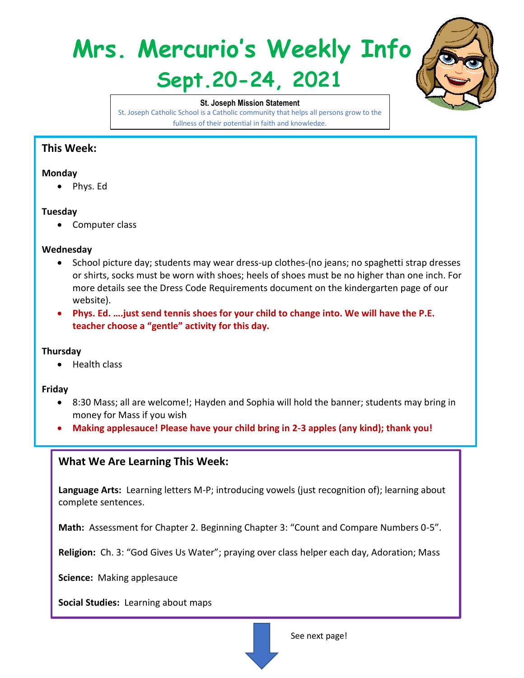# **Mrs. Mercurio's Weekly Info Sept.20-24, 2021**



**St. Joseph Mission Statement** St. Joseph Catholic School is a Catholic community that helps all persons grow to the fullness of their potential in faith and knowledge.

## **This Week:**

#### **Monday**

• Phys. Ed

#### **Tuesday**

• Computer class

#### **Wednesday**

- School picture day; students may wear dress-up clothes-(no jeans; no spaghetti strap dresses or shirts, socks must be worn with shoes; heels of shoes must be no higher than one inch. For more details see the Dress Code Requirements document on the kindergarten page of our website).
- **Phys. Ed. ….just send tennis shoes for your child to change into. We will have the P.E. teacher choose a "gentle" activity for this day.**

#### **Thursday**

• Health class

#### **Friday**

- 8:30 Mass; all are welcome!; Hayden and Sophia will hold the banner; students may bring in money for Mass if you wish
- **Making applesauce! Please have your child bring in 2-3 apples (any kind); thank you!**

### **What We Are Learning This Week:**

**Language Arts:** Learning letters M-P; introducing vowels (just recognition of); learning about complete sentences.

**Math:** Assessment for Chapter 2. Beginning Chapter 3: "Count and Compare Numbers 0-5".

**Religion:** Ch. 3: "God Gives Us Water"; praying over class helper each day, Adoration; Mass

**Science:** Making applesauce

**Social Studies:** Learning about maps

See next page!